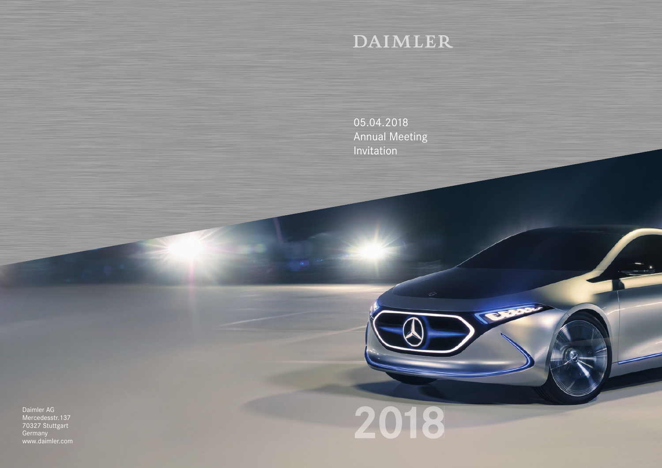# DAIMLER

05.04.2018 Annual Meeting Invitation

Daimler AG Mercedesstr.137 70327 Stuttgart Germany www.daimler.com



TOO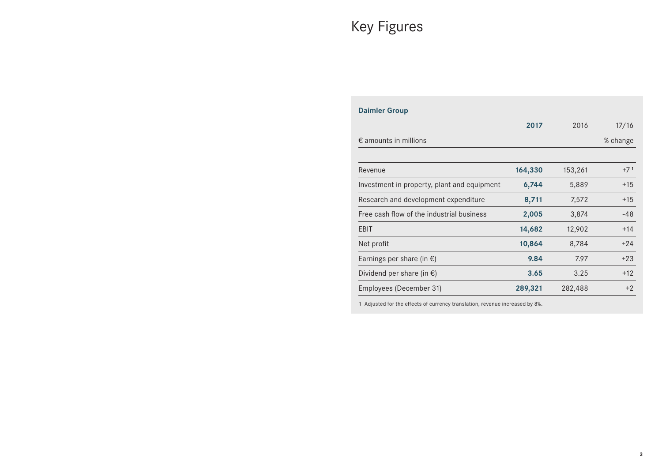# Key Figures

| 2017<br>164,330 | 2016<br>153,261                                      | 17/16<br>% change |
|-----------------|------------------------------------------------------|-------------------|
|                 |                                                      |                   |
|                 |                                                      |                   |
|                 |                                                      | $+71$             |
| 6,744           | 5,889                                                | $+15$             |
| 8,711           | 7,572                                                | $+15$             |
|                 | 3,874                                                | -48               |
|                 | 12,902                                               | $+14$             |
|                 | 8,784                                                | $+24$             |
|                 | 7.97                                                 | $+23$             |
|                 | 3.25                                                 | $+12$             |
|                 | 282,488                                              | $+2$              |
|                 | 2,005<br>14,682<br>10,864<br>9.84<br>3.65<br>289,321 |                   |

1 Adjusted for the effects of currency translation, revenue increased by 8%.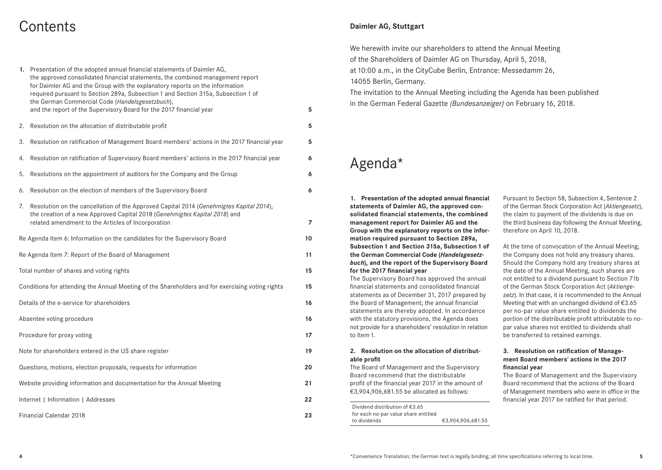## **Contents**

| 1. Presentation of the adopted annual financial statements of Daimler AG,<br>the approved consolidated financial statements, the combined management report<br>for Daimler AG and the Group with the explanatory reports on the information<br>required pursuant to Section 289a, Subsection 1 and Section 315a, Subsection 1 of<br>the German Commercial Code (Handelsgesetzbuch), |    |
|-------------------------------------------------------------------------------------------------------------------------------------------------------------------------------------------------------------------------------------------------------------------------------------------------------------------------------------------------------------------------------------|----|
| and the report of the Supervisory Board for the 2017 financial year                                                                                                                                                                                                                                                                                                                 | 5  |
| 2. Resolution on the allocation of distributable profit                                                                                                                                                                                                                                                                                                                             | 5  |
| Resolution on ratification of Management Board members' actions in the 2017 financial year<br>3.                                                                                                                                                                                                                                                                                    | 5  |
| Resolution on ratification of Supervisory Board members' actions in the 2017 financial year<br>4.                                                                                                                                                                                                                                                                                   | 6  |
| Resolutions on the appointment of auditors for the Company and the Group<br>5.                                                                                                                                                                                                                                                                                                      | 6  |
| 6. Resolution on the election of members of the Supervisory Board                                                                                                                                                                                                                                                                                                                   | 6  |
| Resolution on the cancellation of the Approved Capital 2014 (Genehmigtes Kapital 2014),<br>7.<br>the creation of a new Approved Capital 2018 (Genehmigtes Kapital 2018) and<br>related amendment to the Articles of Incorporation                                                                                                                                                   | 7  |
| Re Agenda Item 6: Information on the candidates for the Supervisory Board                                                                                                                                                                                                                                                                                                           | 10 |
| Re Agenda Item 7: Report of the Board of Management                                                                                                                                                                                                                                                                                                                                 | 11 |
| Total number of shares and voting rights                                                                                                                                                                                                                                                                                                                                            | 15 |
| Conditions for attending the Annual Meeting of the Shareholders and for exercising voting rights                                                                                                                                                                                                                                                                                    | 15 |
| Details of the e-service for shareholders                                                                                                                                                                                                                                                                                                                                           | 16 |
| Absentee voting procedure                                                                                                                                                                                                                                                                                                                                                           | 16 |
| Procedure for proxy voting                                                                                                                                                                                                                                                                                                                                                          | 17 |
| Note for shareholders entered in the US share register                                                                                                                                                                                                                                                                                                                              | 19 |
| Questions, motions, election proposals, requests for information                                                                                                                                                                                                                                                                                                                    | 20 |
| Website providing information and documentation for the Annual Meeting                                                                                                                                                                                                                                                                                                              | 21 |
| Internet   Information   Addresses                                                                                                                                                                                                                                                                                                                                                  | 22 |
| <b>Financial Calendar 2018</b>                                                                                                                                                                                                                                                                                                                                                      | 23 |

## **Daimler AG, Stuttgart**

We herewith invite our shareholders to attend the Annual Meeting of the Shareholders of Daimler AG on Thursday, April 5, 2018, at 10:00 a.m., in the CityCube Berlin, Entrance: Messedamm 26,  14055 Berlin, Germany.

The invitation to the Annual Meeting including the Agenda has been published in the German Federal Gazette *(Bundesanzeiger)* on February 16, 2018.

## Agenda\*

**1. Presentation of the adopted annual financial statements of Daimler AG, the approved consolidated financial statements, the combined management report for Daimler AG and the Group with the explanatory reports on the information required pursuant to Section 289a, Subsection 1 and Section 315a, Subsection 1 of the German Commercial Code (***Handelsgesetzbuch***), and the report of the Supervisory Board for the 2017 financial year**

The Supervisory Board has approved the annual financial statements and consolidated financial statements as of December 31, 2017 prepared by the Board of Management; the annual financial statements are thereby adopted. In accordance with the statutory provisions, the Agenda does not provide for a shareholders' resolution in relation to Item 1.

#### **2. Resolution on the allocation of distributable profit**

The Board of Management and the Supervisory Board recommend that the distributable profit of the financial year 2017 in the amount of €3,904,906,681.55 be allocated as follows:

Dividend distribution of €3.65 for each no-par value share entitled to dividends €3,904,906,681.55 Pursuant to Section 58, Subsection 4, Sentence 2 of the German Stock Corporation Act (*Aktiengesetz*), the claim to payment of the dividends is due on the third business day following the Annual Meeting, therefore on April 10, 2018.

At the time of convocation of the Annual Meeting, the Company does not hold any treasury shares. Should the Company hold any treasury shares at the date of the Annual Meeting, such shares are not entitled to a dividend pursuant to Section 71b of the German Stock Corporation Act (*Aktiengesetz*). In that case, it is recommended to the Annual Meeting that with an unchanged dividend of €3.65 per no-par value share entitled to dividends the portion of the distributable profit attributable to nopar value shares not entitled to dividends shall be transferred to retained earnings.

## **3. Resolution on ratification of Management Board members' actions in the 2017 financial year**

The Board of Management and the Supervisory Board recommend that the actions of the Board of Management members who were in office in the financial year 2017 be ratified for that period.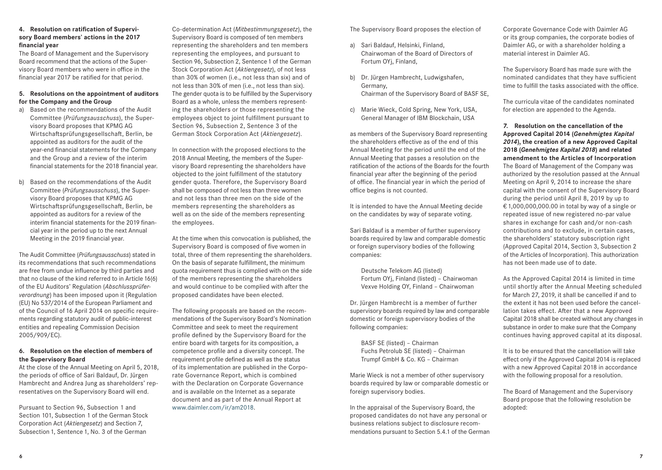#### **4. Resolution on ratification of Supervisory Board members' actions in the 2017 financial year**

The Board of Management and the Supervisory Board recommend that the actions of the Supervisory Board members who were in office in the financial year 2017 be ratified for that period.

## **5. Resolutions on the appointment of auditors for the Company and the Group**

- a) Based on the recommendations of the Audit Committee (*Prüfungsausschuss*), the Supervisory Board proposes that KPMG AG Wirtschaftsprüfungsgesellschaft, Berlin, be appointed as auditors for the audit of the year-end financial statements for the Company and the Group and a review of the interim financial statements for the 2018 financial year.
- b) Based on the recommendations of the Audit Committee (*Prüfungsausschuss*), the Supervisory Board proposes that KPMG AG Wirtschaftsprüfungsgesellschaft, Berlin, be appointed as auditors for a review of the interim financial statements for the 2019 financial year in the period up to the next Annual Meeting in the 2019 financial year.

The Audit Committee (*Prüfungsausschuss*) stated in its recommendations that such recommendations are free from undue influence by third parties and that no clause of the kind referred to in Article 16(6) of the EU Auditors' Regulation (*Abschlussprüferverordnung*) has been imposed upon it (Regulation (EU) No 537/2014 of the European Parliament and of the Council of 16 April 2014 on specific requirements regarding statutory audit of public-interest entities and repealing Commission Decision 2005/909/EC).

## **6. Resolution on the election of members of the Supervisory Board**

At the close of the Annual Meeting on April 5, 2018, the periods of office of Sari Baldauf, Dr. Jürgen Hambrecht and Andrea Jung as shareholders' representatives on the Supervisory Board will end.

Pursuant to Section 96, Subsection 1 and Section 101, Subsection 1 of the German Stock Corporation Act (*Aktiengesetz*) and Section 7, Subsection 1, Sentence 1, No. 3 of the German

Co-determination Act (*Mitbestimmungsgesetz*), the Supervisory Board is composed of ten members representing the shareholders and ten members representing the employees, and pursuant to Section 96, Subsection 2, Sentence 1 of the German Stock Corporation Act (*Aktiengesetz*), of not less than 30% of women (i.e., not less than six) and of not less than 30% of men (i.e., not less than six). The gender quota is to be fulfilled by the Supervisory Board as a whole, unless the members representing the shareholders or those representing the employees object to joint fulfillment pursuant to Section 96, Subsection 2, Sentence 3 of the German Stock Corporation Act (*Aktiengesetz*).

In connection with the proposed elections to the 2018 Annual Meeting, the members of the Supervisory Board representing the shareholders have objected to the joint fulfillment of the statutory gender quota. Therefore, the Supervisory Board shall be composed of not less than three women and not less than three men on the side of the members representing the shareholders as well as on the side of the members representing the employees.

At the time when this convocation is published, the Supervisory Board is composed of five women in total, three of them representing the shareholders. On the basis of separate fulfillment, the minimum quota requirement thus is complied with on the side of the members representing the shareholders and would continue to be complied with after the proposed candidates have been elected.

The following proposals are based on the recommendations of the Supervisory Board's Nomination Committee and seek to meet the requirement profile defined by the Supervisory Board for the entire board with targets for its composition, a competence profile and a diversity concept. The requirement profile defined as well as the status of its implementation are published in the Corporate Governance Report, which is combined with the Declaration on Corporate Governance and is available on the Internet as a separate document and as part of the Annual Report at www.daimler.com/ir/am2018.

The Supervisory Board proposes the election of

- a) Sari Baldauf, Helsinki, Finland, Chairwoman of the Board of Directors of Fortum OYj, Finland,
- b) Dr. Jürgen Hambrecht, Ludwigshafen, Germany, Chairman of the Supervisory Board of BASF SE,
- c) Marie Wieck, Cold Spring, New York, USA, General Manager of IBM Blockchain, USA

as members of the Supervisory Board representing the shareholders effective as of the end of this Annual Meeting for the period until the end of the Annual Meeting that passes a resolution on the ratification of the actions of the Boards for the fourth financial year after the beginning of the period of office. The financial year in which the period of office begins is not counted.

It is intended to have the Annual Meeting decide on the candidates by way of separate voting.

Sari Baldauf is a member of further supervisory boards required by law and comparable domestic or foreign supervisory bodies of the following companies:

 Deutsche Telekom AG (listed) Fortum OYj, Finland (listed) – Chairwoman Vexve Holding OY, Finland – Chairwoman

Dr. Jürgen Hambrecht is a member of further supervisory boards required by law and comparable domestic or foreign supervisory bodies of the following companies:

 BASF SE (listed) – Chairman Fuchs Petrolub SE (listed) – Chairman Trumpf GmbH & Co. KG – Chairman

Marie Wieck is not a member of other supervisory boards required by law or comparable domestic or foreign supervisory bodies.

In the appraisal of the Supervisory Board, the proposed candidates do not have any personal or business relations subject to disclosure recommendations pursuant to Section 5.4.1 of the German Corporate Governance Code with Daimler AG or its group companies, the corporate bodies of Daimler AG, or with a shareholder holding a material interest in Daimler AG.

The Supervisory Board has made sure with the nominated candidates that they have sufficient time to fulfill the tasks associated with the office.

The curricula vitae of the candidates nominated for election are appended to the Agenda.

**7. Resolution on the cancellation of the Approved Capital 2014 (***Genehmigtes Kapital 2014***), the creation of a new Approved Capital 2018 (***Genehmigtes Kapital 2018***) and related amendment to the Articles of Incorporation** The Board of Management of the Company was authorized by the resolution passed at the Annual Meeting on April 9, 2014 to increase the share capital with the consent of the Supervisory Board during the period until April 8, 2019 by up to € 1,000,000,000.00 in total by way of a single or repeated issue of new registered no-par value shares in exchange for cash and/or non-cash contributions and to exclude, in certain cases, the shareholders' statutory subscription right (Approved Capital 2014, Section 3, Subsection 2 of the Articles of Incorporation). This authorization has not been made use of to date.

As the Approved Capital 2014 is limited in time until shortly after the Annual Meeting scheduled for March 27, 2019, it shall be cancelled if and to the extent it has not been used before the cancellation takes effect. After that a new Approved Capital 2018 shall be created without any changes in substance in order to make sure that the Company continues having approved capital at its disposal.

It is to be ensured that the cancellation will take effect only if the Approved Capital 2014 is replaced with a new Approved Capital 2018 in accordance with the following proposal for a resolution.

The Board of Management and the Supervisory Board propose that the following resolution be adopted: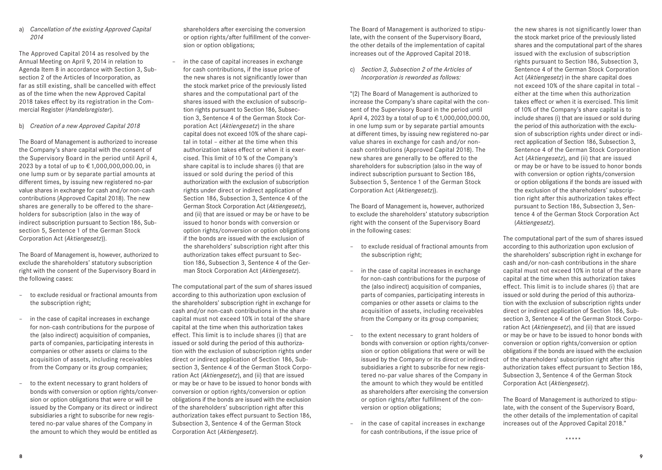a) *Cancellation of the existing Approved Capital 2014*

The Approved Capital 2014 as resolved by the Annual Meeting on April 9, 2014 in relation to Agenda Item 8 in accordance with Section 3, Subsection 2 of the Articles of Incorporation, as far as still existing, shall be cancelled with effect as of the time when the new Approved Capital 2018 takes effect by its registration in the Commercial Register (*Handelsregister*).

## b) *Creation of a new Approved Capital 2018*

The Board of Management is authorized to increase the Company's share capital with the consent of the Supervisory Board in the period until April 4, 2023 by a total of up to € 1,000,000,000.00, in one lump sum or by separate partial amounts at different times, by issuing new registered no-par value shares in exchange for cash and/or non-cash contributions (Approved Capital 2018). The new shares are generally to be offered to the shareholders for subscription (also in the way of indirect subscription pursuant to Section 186, Subsection 5, Sentence 1 of the German Stock Corporation Act (*Aktiengesetz*)).

The Board of Management is, however, authorized to exclude the shareholders' statutory subscription right with the consent of the Supervisory Board in the following cases:

- to exclude residual or fractional amounts from the subscription right;
- in the case of capital increases in exchange for non-cash contributions for the purpose of the (also indirect) acquisition of companies, parts of companies, participating interests in companies or other assets or claims to the acquisition of assets, including receivables from the Company or its group companies;
- to the extent necessary to grant holders of bonds with conversion or option rights/conversion or option obligations that were or will be issued by the Company or its direct or indirect subsidiaries a right to subscribe for new registered no-par value shares of the Company in the amount to which they would be entitled as

shareholders after exercising the conversion or option rights/after fulfillment of the conversion or option obligations;

in the case of capital increases in exchange for cash contributions, if the issue price of the new shares is not significantly lower than the stock market price of the previously listed shares and the computational part of the shares issued with the exclusion of subscription rights pursuant to Section 186, Subsection 3, Sentence 4 of the German Stock Corporation Act (*Aktiengesetz*) in the share capital does not exceed 10% of the share capital in total – either at the time when this authorization takes effect or when it is exercised. This limit of 10 % of the Company's share capital is to include shares (i) that are issued or sold during the period of this authorization with the exclusion of subscription rights under direct or indirect application of Section 186, Subsection 3, Sentence 4 of the German Stock Corporation Act (*Aktiengesetz*), and (ii) that are issued or may be or have to be issued to honor bonds with conversion or option rights/conversion or option obligations if the bonds are issued with the exclusion of the shareholders' subscription right after this authorization takes effect pursuant to Section 186, Subsection 3, Sentence 4 of the German Stock Corporation Act (*Aktiengesetz*).

The computational part of the sum of shares issued according to this authorization upon exclusion of the shareholders' subscription right in exchange for cash and/or non-cash contributions in the share capital must not exceed 10% in total of the share capital at the time when this authorization takes effect. This limit is to include shares (i) that are issued or sold during the period of this authorization with the exclusion of subscription rights under direct or indirect application of Section 186, Subsection 3, Sentence 4 of the German Stock Corporation Act (*Aktiengesetz*), and (ii) that are issued or may be or have to be issued to honor bonds with conversion or option rights/conversion or option obligations if the bonds are issued with the exclusion of the shareholders' subscription right after this authorization takes effect pursuant to Section 186, Subsection 3, Sentence 4 of the German Stock Corporation Act (*Aktiengesetz*).

The Board of Management is authorized to stipulate, with the consent of the Supervisory Board, the other details of the implementation of capital increases out of the Approved Capital 2018.

c) *Section 3, Subsection 2 of the Articles of Incorporation is reworded as follows:*

"(2) The Board of Management is authorized to increase the Company's share capital with the consent of the Supervisory Board in the period until April 4, 2023 by a total of up to € 1,000,000,000.00, in one lump sum or by separate partial amounts at different times, by issuing new registered no-par value shares in exchange for cash and/or noncash contributions (Approved Capital 2018). The new shares are generally to be offered to the shareholders for subscription (also in the way of indirect subscription pursuant to Section 186, Subsection 5, Sentence 1 of the German Stock Corporation Act (*Aktiengesetz*)).

The Board of Management is, however, authorized to exclude the shareholders' statutory subscription right with the consent of the Supervisory Board in the following cases:

- to exclude residual of fractional amounts from the subscription right;
- in the case of capital increases in exchange for non-cash contributions for the purpose of the (also indirect) acquisition of companies, parts of companies, participating interests in companies or other assets or claims to the acquisition of assets, including receivables from the Company or its group companies;
- to the extent necessary to grant holders of bonds with conversion or option rights/conversion or option obligations that were or will be issued by the Company or its direct or indirect subsidiaries a right to subscribe for new registered no-par value shares of the Company in the amount to which they would be entitled as shareholders after exercising the conversion or option rights/after fulfillment of the conversion or option obligations;
- in the case of capital increases in exchange for cash contributions, if the issue price of

the new shares is not significantly lower than the stock market price of the previously listed shares and the computational part of the shares issued with the exclusion of subscription rights pursuant to Section 186, Subsection 3, Sentence 4 of the German Stock Corporation Act (*Aktiengesetz*) in the share capital does not exceed 10% of the share capital in total – either at the time when this authorization takes effect or when it is exercised. This limit of 10% of the Company's share capital is to include shares (i) that are issued or sold during the period of this authorization with the exclusion of subscription rights under direct or indirect application of Section 186, Subsection 3, Sentence 4 of the German Stock Corporation Act (*Aktiengesetz*), and (ii) that are issued or may be or have to be issued to honor bonds with conversion or option rights/conversion or option obligations if the bonds are issued with the exclusion of the shareholders' subscription right after this authorization takes effect pursuant to Section 186, Subsection 3, Sentence 4 of the German Stock Corporation Act (*Aktiengesetz*).

The computational part of the sum of shares issued according to this authorization upon exclusion of the shareholders' subscription right in exchange for cash and/or non-cash contributions in the share capital must not exceed 10% in total of the share capital at the time when this authorization takes effect. This limit is to include shares (i) that are issued or sold during the period of this authorization with the exclusion of subscription rights under direct or indirect application of Section 186, Subsection 3, Sentence 4 of the German Stock Corporation Act (*Aktiengesetz*), and (ii) that are issued or may be or have to be issued to honor bonds with conversion or option rights/conversion or option obligations if the bonds are issued with the exclusion of the shareholders' subscription right after this authorization takes effect pursuant to Section 186, Subsection 3, Sentence 4 of the German Stock Corporation Act (*Aktiengesetz*).

The Board of Management is authorized to stipulate, with the consent of the Supervisory Board, the other details of the implementation of capital increases out of the Approved Capital 2018."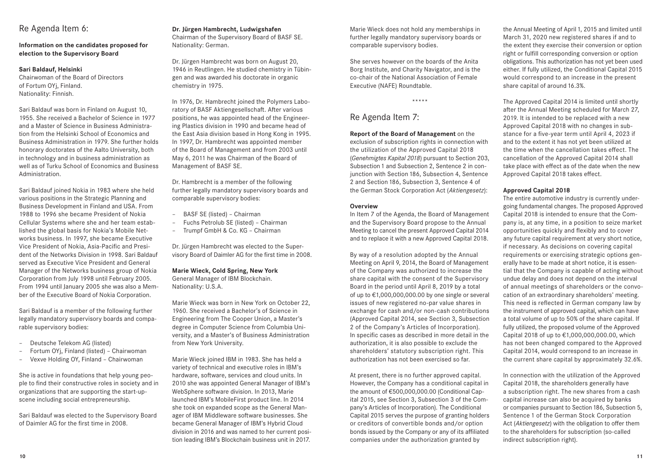## Re Agenda Item 6:

## **Information on the candidates proposed for election to the Supervisory Board**

## **Sari Baldauf, Helsinki**

Chairwoman of the Board of Directors of Fortum OYj, Finland. Nationality: Finnish.

Sari Baldauf was born in Finland on August 10, 1955. She received a Bachelor of Science in 1977 and a Master of Science in Business Administration from the Helsinki School of Economics and Business Administration in 1979. She further holds honorary doctorates of the Aalto University, both in technology and in business administration as well as of Turku School of Economics and Business Administration.

Sari Baldauf joined Nokia in 1983 where she held various positions in the Strategic Planning and Business Development in Finland and USA. From 1988 to 1996 she became President of Nokia Cellular Systems where she and her team established the global basis for Nokia's Mobile Networks business. In 1997, she became Executive Vice President of Nokia, Asia-Pacific and President of the Networks Division in 1998. Sari Baldauf served as Executive Vice President and General Manager of the Networks business group of Nokia Corporation from July 1998 until February 2005. From 1994 until January 2005 she was also a Member of the Executive Board of Nokia Corporation.

Sari Baldauf is a member of the following further legally mandatory supervisory boards and comparable supervisory bodies:

- Deutsche Telekom AG (listed)
- Fortum OYj, Finland (listed) Chairwoman
- Vexve Holding OY, Finland Chairwoman

She is active in foundations that help young people to find their constructive roles in society and in organizations that are supporting the start-upscene including social entrepreneurship.

Sari Baldauf was elected to the Supervisory Board of Daimler AG for the first time in 2008.

## **Dr. Jürgen Hambrecht, Ludwigshafen**

Chairman of the Supervisory Board of BASF SE. Nationality: German.

Dr. Jürgen Hambrecht was born on August 20, 1946 in Reutlingen. He studied chemistry in Tübingen and was awarded his doctorate in organic chemistry in 1975.

In 1976, Dr. Hambrecht joined the Polymers Laboratory of BASF Aktiengesellschaft. After various positions, he was appointed head of the Engineering Plastics division in 1990 and became head of the East Asia division based in Hong Kong in 1995. In 1997, Dr. Hambrecht was appointed member of the Board of Management and from 2003 until May 6, 2011 he was Chairman of the Board of Management of BASF SE.

Dr. Hambrecht is a member of the following further legally mandatory supervisory boards and comparable supervisory bodies:

- BASF SE (listed) Chairman
- Fuchs Petrolub SE (listed) Chairman
- Trumpf GmbH & Co. KG Chairman

Dr. Jürgen Hambrecht was elected to the Supervisory Board of Daimler AG for the first time in 2008.

#### **Marie Wieck, Cold Spring, New York**

General Manager of IBM Blockchain. Nationality: U.S.A.

Marie Wieck was born in New York on October 22, 1960. She received a Bachelor's of Science in Engineering from The Cooper Union, a Master's degree in Computer Science from Columbia University, and a Master's of Business Administration from New York University.

Marie Wieck joined IBM in 1983. She has held a variety of technical and executive roles in IBM's hardware, software, services and cloud units. In 2010 she was appointed General Manager of IBM's WebSphere software division. In 2013, Marie launched IBM's MobileFirst product line. In 2014 she took on expanded scope as the General Manager of IBM Middleware software businesses. She became General Manager of IBM's Hybrid Cloud division in 2016 and was named to her current position leading IBM's Blockchain business unit in 2017. Marie Wieck does not hold any memberships in further legally mandatory supervisory boards or comparable supervisory bodies.

She serves however on the boards of the Anita Borg Institute, and Charity Navigator, and is the co-chair of the National Association of Female Executive (NAFE) Roundtable.

\*\*\*\*\*

## Re Agenda Item 7:

**Report of the Board of Management** on the exclusion of subscription rights in connection with the utilization of the Approved Capital 2018 (*Genehmigtes Kapital 2018*) pursuant to Section 203, Subsection 1 and Subsection 2, Sentence 2 in conjunction with Section 186, Subsection 4, Sentence 2 and Section 186, Subsection 3, Sentence 4 of the German Stock Corporation Act (*Aktiengesetz*):

#### **Overview**

In Item 7 of the Agenda, the Board of Management and the Supervisory Board propose to the Annual Meeting to cancel the present Approved Capital 2014 and to replace it with a new Approved Capital 2018.

By way of a resolution adopted by the Annual Meeting on April 9, 2014, the Board of Management of the Company was authorized to increase the share capital with the consent of the Supervisory Board in the period until April 8, 2019 by a total of up to €1,000,000,000.00 by one single or several issues of new registered no-par value shares in exchange for cash and/or non-cash contributions (Approved Capital 2014, see Section 3, Subsection 2 of the Company's Articles of Incorporation). In specific cases as described in more detail in the authorization, it is also possible to exclude the shareholders' statutory subscription right. This authorization has not been exercised so far.

At present, there is no further approved capital. However, the Company has a conditional capital in the amount of €500,000,000.00 (Conditional Capital 2015, see Section 3, Subsection 3 of the Company's Articles of Incorporation). The Conditional Capital 2015 serves the purpose of granting holders or creditors of convertible bonds and/or option bonds issued by the Company or any of its affiliated companies under the authorization granted by

the Annual Meeting of April 1, 2015 and limited until March 31, 2020 new registered shares if and to the extent they exercise their conversion or option right or fulfill corresponding conversion or option obligations. This authorization has not yet been used either. If fully utilized, the Conditional Capital 2015 would correspond to an increase in the present share capital of around 16.3%.

The Approved Capital 2014 is limited until shortly after the Annual Meeting scheduled for March 27, 2019. It is intended to be replaced with a new Approved Capital 2018 with no changes in substance for a five-year term until April 4, 2023 if and to the extent it has not yet been utilized at the time when the cancellation takes effect. The cancellation of the Approved Capital 2014 shall take place with effect as of the date when the new Approved Capital 2018 takes effect.

## **Approved Capital 2018**

The entire automotive industry is currently undergoing fundamental changes. The proposed Approved Capital 2018 is intended to ensure that the Company is, at any time, in a position to seize market opportunities quickly and flexibly and to cover any future capital requirement at very short notice, if necessary. As decisions on covering capital requirements or exercising strategic options generally have to be made at short notice, it is essential that the Company is capable of acting without undue delay and does not depend on the interval of annual meetings of shareholders or the convocation of an extraordinary shareholders' meeting. This need is reflected in German company law by the instrument of approved capital, which can have a total volume of up to 50% of the share capital. If fully utilized, the proposed volume of the Approved Capital 2018 of up to €1,000,000,000.00, which has not been changed compared to the Approved Capital 2014, would correspond to an increase in the current share capital by approximately 32.6%.

In connection with the utilization of the Approved Capital 2018, the shareholders generally have a subscription right. The new shares from a cash capital increase can also be acquired by banks or companies pursuant to Section 186, Subsection 5, Sentence 1 of the German Stock Corporation Act (*Aktiengesetz*) with the obligation to offer them to the shareholders for subscription (so-called indirect subscription right).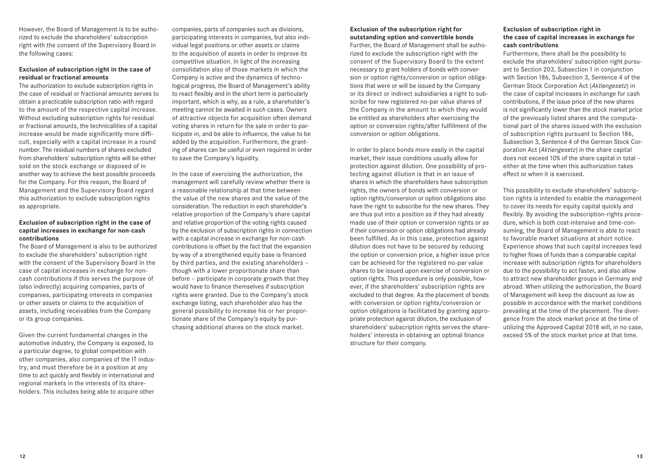However, the Board of Management is to be authorized to exclude the shareholders' subscription right with the consent of the Supervisory Board in the following cases:

### **Exclusion of subscription right in the case of residual or fractional amounts**

The authorization to exclude subscription rights in the case of residual or fractional amounts serves to obtain a practicable subscription ratio with regard to the amount of the respective capital increase. Without excluding subscription rights for residual or fractional amounts, the technicalities of a capital increase would be made significantly more difficult, especially with a capital increase in a round number. The residual numbers of shares excluded from shareholders' subscription rights will be either sold on the stock exchange or disposed of in another way to achieve the best possible proceeds for the Company. For this reason, the Board of Management and the Supervisory Board regard this authorization to exclude subscription rights as appropriate.

#### **Exclusion of subscription right in the case of capital increases in exchange for non-cash contributions**

The Board of Management is also to be authorized to exclude the shareholders' subscription right with the consent of the Supervisory Board in the case of capital increases in exchange for noncash contributions if this serves the purpose of (also indirectly) acquiring companies, parts of companies, participating interests in companies or other assets or claims to the acquisition of assets, including receivables from the Company or its group companies.

Given the current fundamental changes in the automotive industry, the Company is exposed, to a particular degree, to global competition with other companies, also companies of the IT industry, and must therefore be in a position at any time to act quickly and flexibly in international and regional markets in the interests of its shareholders. This includes being able to acquire other

companies, parts of companies such as divisions, participating interests in companies, but also individual legal positions or other assets or claims to the acquisition of assets in order to improve its competitive situation. In light of the increasing consolidation also of those markets in which the Company is active and the dynamics of technological progress, the Board of Management's ability to react flexibly and in the short term is particularly important, which is why, as a rule, a shareholder's meeting cannot be awaited in such cases. Owners of attractive objects for acquisition often demand voting shares in return for the sale in order to participate in, and be able to influence, the value to be added by the acquisition. Furthermore, the granting of shares can be useful or even required in order to save the Company's liquidity.

In the case of exercising the authorization, the management will carefully review whether there is a reasonable relationship at that time between the value of the new shares and the value of the consideration. The reduction in each shareholder's relative proportion of the Company's share capital and relative proportion of the voting rights caused by the exclusion of subscription rights in connection with a capital increase in exchange for non-cash contributions is offset by the fact that the expansion by way of a strengthened equity base is financed by third parties, and the existing shareholders – though with a lower proportionate share than before – participate in corporate growth that they would have to finance themselves if subscription rights were granted. Due to the Company's stock exchange listing, each shareholder also has the general possibility to increase his or her proportionate share of the Company's equity by purchasing additional shares on the stock market.

### **Exclusion of the subscription right for outstanding option and convertible bonds**

Further, the Board of Management shall be authorized to exclude the subscription right with the consent of the Supervisory Board to the extent necessary to grant holders of bonds with conversion or option rights/conversion or option obligations that were or will be issued by the Company or its direct or indirect subsidiaries a right to subscribe for new registered no-par value shares of the Company in the amount to which they would be entitled as shareholders after exercising the option or conversion rights/after fulfillment of the conversion or option obligations.

In order to place bonds more easily in the capital market, their issue conditions usually allow for protection against dilution. One possibility of protecting against dilution is that in an issue of shares in which the shareholders have subscription rights, the owners of bonds with conversion or option rights/conversion or option obligations also have the right to subscribe for the new shares. They are thus put into a position as if they had already made use of their option or conversion rights or as if their conversion or option obligations had already been fulfilled. As in this case, protection against dilution does not have to be secured by reducing the option or conversion price, a higher issue price can be achieved for the registered no-par value shares to be issued upon exercise of conversion or option rights. This procedure is only possible, however, if the shareholders' subscription rights are excluded to that degree. As the placement of bonds with conversion or option rights/conversion or option obligations is facilitated by granting appropriate protection against dilution, the exclusion of shareholders' subscription rights serves the shareholders' interests in obtaining an optimal finance structure for their company.

## **Exclusion of subscription right in the case of capital increases in exchange for cash contributions**

Furthermore, there shall be the possibility to exclude the shareholders' subscription right pursuant to Section 203, Subsection 1 in conjunction with Section 186, Subsection 3, Sentence 4 of the German Stock Corporation Act (*Aktiengesetz*) in the case of capital increases in exchange for cash contributions, if the issue price of the new shares is not significantly lower than the stock market price of the previously listed shares and the computational part of the shares issued with the exclusion of subscription rights pursuant to Section 186, Subsection 3, Sentence 4 of the German Stock Corporation Act (*Aktiengesetz*) in the share capital does not exceed 10% of the share capital in total – either at the time when this authorization takes effect or when it is exercised.

This possibility to exclude shareholders' subscription rights is intended to enable the management to cover its needs for equity capital quickly and flexibly. By avoiding the subscription-rights procedure, which is both cost-intensive and time-consuming, the Board of Management is able to react to favorable market situations at short notice. Experience shows that such capital increases lead to higher flows of funds than a comparable capital increase with subscription rights for shareholders due to the possibility to act faster, and also allow to attract new shareholder groups in Germany and abroad. When utilizing the authorization, the Board of Management will keep the discount as low as possible in accordance with the market conditions prevailing at the time of the placement. The divergence from the stock market price at the time of utilizing the Approved Capital 2018 will, in no case, exceed 5% of the stock market price at that time.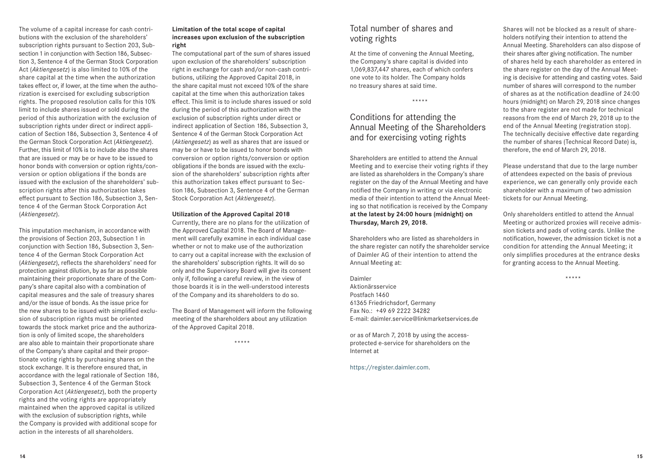The volume of a capital increase for cash contributions with the exclusion of the shareholders' subscription rights pursuant to Section 203, Subsection 1 in conjunction with Section 186, Subsection 3, Sentence 4 of the German Stock Corporation Act (*Aktiengesetz*) is also limited to 10% of the share capital at the time when the authorization takes effect or, if lower, at the time when the authorization is exercised for excluding subscription rights. The proposed resolution calls for this 10% limit to include shares issued or sold during the period of this authorization with the exclusion of subscription rights under direct or indirect application of Section 186, Subsection 3, Sentence 4 of the German Stock Corporation Act (*Aktiengesetz*). Further, this limit of 10% is to include also the shares that are issued or may be or have to be issued to honor bonds with conversion or option rights/conversion or option obligations if the bonds are issued with the exclusion of the shareholders' subscription rights after this authorization takes effect pursuant to Section 186, Subsection 3, Sentence 4 of the German Stock Corporation Act (*Aktiengesetz*).

This imputation mechanism, in accordance with the provisions of Section 203, Subsection 1 in conjunction with Section 186, Subsection 3, Sentence 4 of the German Stock Corporation Act (*Aktiengesetz*), reflects the shareholders' need for protection against dilution, by as far as possible maintaining their proportionate share of the Company's share capital also with a combination of capital measures and the sale of treasury shares and/or the issue of bonds. As the issue price for the new shares to be issued with simplified exclusion of subscription rights must be oriented towards the stock market price and the authorization is only of limited scope, the shareholders are also able to maintain their proportionate share of the Company's share capital and their proportionate voting rights by purchasing shares on the stock exchange. It is therefore ensured that, in accordance with the legal rationale of Section 186, Subsection 3, Sentence 4 of the German Stock Corporation Act (*Aktiengesetz*), both the property rights and the voting rights are appropriately maintained when the approved capital is utilized with the exclusion of subscription rights, while the Company is provided with additional scope for action in the interests of all shareholders.

#### **Limitation of the total scope of capital increases upon exclusion of the subscription right**

The computational part of the sum of shares issued upon exclusion of the shareholders' subscription right in exchange for cash and/or non-cash contributions, utilizing the Approved Capital 2018, in the share capital must not exceed 10% of the share capital at the time when this authorization takes effect. This limit is to include shares issued or sold during the period of this authorization with the exclusion of subscription rights under direct or indirect application of Section 186, Subsection 3, Sentence 4 of the German Stock Corporation Act (*Aktiengesetz*) as well as shares that are issued or may be or have to be issued to honor bonds with conversion or option rights/conversion or option obligations if the bonds are issued with the exclusion of the shareholders' subscription rights after this authorization takes effect pursuant to Section 186, Subsection 3, Sentence 4 of the German Stock Corporation Act (*Aktiengesetz*).

#### **Utilization of the Approved Capital 2018**

Currently, there are no plans for the utilization of the Approved Capital 2018. The Board of Management will carefully examine in each individual case whether or not to make use of the authorization to carry out a capital increase with the exclusion of the shareholders' subscription rights. It will do so only and the Supervisory Board will give its consent only if, following a careful review, in the view of those boards it is in the well-understood interests of the Company and its shareholders to do so.

The Board of Management will inform the following meeting of the shareholders about any utilization of the Approved Capital 2018.

\*\*\*\*\*

## Total number of shares and voting rights

At the time of convening the Annual Meeting, the Company's share capital is divided into  1,069,837,447 shares, each of which confers one vote to its holder. The Company holds no treasury shares at said time.

#### \*\*\*\*\*

## Conditions for attending the Annual Meeting of the Shareholders and for exercising voting rights

Shareholders are entitled to attend the Annual Meeting and to exercise their voting rights if they are listed as shareholders in the Company's share register on the day of the Annual Meeting and have notified the Company in writing or via electronic media of their intention to attend the Annual Meeting so that notification is received by the Company **at the latest by 24:00 hours (midnight) on Thursday, March 29, 2018.**

Shareholders who are listed as shareholders in the share register can notify the shareholder service of Daimler AG of their intention to attend the Annual Meeting at:

Daimler Aktionärsservice Postfach 1460

61365 Friedrichsdorf, Germany Fax No.: +49 69 2222 34282 E-mail: daimler.service@linkmarketservices.de

or as of March 7, 2018 by using the accessprotected e-service for shareholders on the Internet at

https://register.daimler.com.

Shares will not be blocked as a result of shareholders notifying their intention to attend the Annual Meeting. Shareholders can also dispose of their shares after giving notification. The number of shares held by each shareholder as entered in the share register on the day of the Annual Meeting is decisive for attending and casting votes. Said number of shares will correspond to the number of shares as at the notification deadline of 24:00 hours (midnight) on March 29, 2018 since changes to the share register are not made for technical reasons from the end of March 29, 2018 up to the end of the Annual Meeting (registration stop). The technically decisive effective date regarding the number of shares (Technical Record Date) is, therefore, the end of March 29, 2018.

Please understand that due to the large number of attendees expected on the basis of previous experience, we can generally only provide each shareholder with a maximum of two admission tickets for our Annual Meeting.

Only shareholders entitled to attend the Annual Meeting or authorized proxies will receive admission tickets and pads of voting cards. Unlike the notification, however, the admission ticket is not a condition for attending the Annual Meeting; it only simplifies procedures at the entrance desks for granting access to the Annual Meeting.

\*\*\*\*\*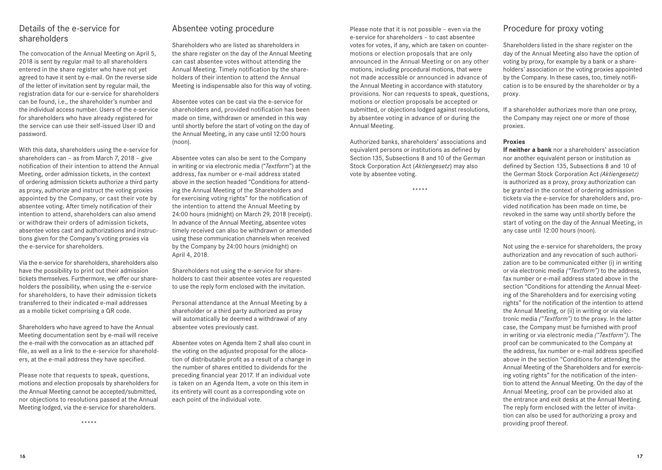## Details of the e-service for shareholders

The convocation of the Annual Meeting on April 5, 2018 is sent by regular mail to all shareholders entered in the share register who have not yet agreed to have it sent by e-mail. On the reverse side of the letter of invitation sent by regular mail, the registration data for our e-service for shareholders can be found, i.e., the shareholder's number and the individual access number. Users of the e-service for shareholders who have already registered for the service can use their self-issued User ID and password.

With this data, shareholders using the e-service for shareholders can – as from March 7, 2018 – give notification of their intention to attend the Annual Meeting, order admission tickets, in the context of ordering admission tickets authorize a third party as proxy, authorize and instruct the voting proxies appointed by the Company, or cast their vote by absentee voting. After timely notification of their intention to attend, shareholders can also amend or withdraw their orders of admission tickets, absentee votes cast and authorizations and instructions given for the Company's voting proxies via the e-service for shareholders.

Via the e-service for shareholders, shareholders also have the possibility to print out their admission tickets themselves. Furthermore, we offer our shareholders the possibility, when using the e-service for shareholders, to have their admission tickets transferred to their indicated e-mail addresses as a mobile ticket comprising a QR code.

Shareholders who have agreed to have the Annual Meeting documentation sent by e-mail will receive the e-mail with the convocation as an attached pdf file, as well as a link to the e-service for shareholders, at the e-mail address they have specified.

Please note that requests to speak, questions, motions and election proposals by shareholders for the Annual Meeting cannot be accepted/submitted, nor objections to resolutions passed at the Annual Meeting lodged, via the e-service for shareholders.

\*\*\*\*\*

## Absentee voting procedure

Shareholders who are listed as shareholders in the share register on the day of the Annual Meeting can cast absentee votes without attending the Annual Meeting. Timely notification by the shareholders of their intention to attend the Annual Meeting is indispensable also for this way of voting.

Absentee votes can be cast via the e-service for shareholders and, provided notification has been made on time, withdrawn or amended in this way until shortly before the start of voting on the day of the Annual Meeting, in any case until 12:00 hours (noon).

Absentee votes can also be sent to the Company in writing or via electronic media ("*Textform*") at the address, fax number or e-mail address stated above in the section headed "Conditions for attending the Annual Meeting of the Shareholders and for exercising voting rights" for the notification of the intention to attend the Annual Meeting by 24:00 hours (midnight) on March 29, 2018 (receipt). In advance of the Annual Meeting, absentee votes timely received can also be withdrawn or amended using these communication channels when received by the Company by 24:00 hours (midnight) on April 4, 2018.

Shareholders not using the e-service for shareholders to cast their absentee votes are requested to use the reply form enclosed with the invitation.

Personal attendance at the Annual Meeting by a shareholder or a third party authorized as proxy will automatically be deemed a withdrawal of any absentee votes previously cast.

Absentee votes on Agenda Item 2 shall also count in the voting on the adjusted proposal for the allocation of distributable profit as a result of a change in the number of shares entitled to dividends for the preceding financial year 2017. If an individual vote is taken on an Agenda Item, a vote on this item in its entirety will count as a corresponding vote on each point of the individual vote.

Please note that it is not possible – even via the e-service for shareholders – to cast absentee votes for votes, if any, which are taken on countermotions or election proposals that are only announced in the Annual Meeting or on any other motions, including procedural motions, that were not made accessible or announced in advance of the Annual Meeting in accordance with statutory provisions. Nor can requests to speak, questions, motions or election proposals be accepted or submitted, or objections lodged against resolutions, by absentee voting in advance of or during the Annual Meeting.

Authorized banks, shareholders' associations and equivalent persons or institutions as defined by Section 135, Subsections 8 and 10 of the German Stock Corporation Act (*Aktiengesetz*) may also vote by absentee voting.

\*\*\*\*\*

## Procedure for proxy voting

Shareholders listed in the share register on the day of the Annual Meeting also have the option of voting by proxy, for example by a bank or a shareholders' association or the voting proxies appointed by the Company. In these cases, too, timely notification is to be ensured by the shareholder or by a proxy.

If a shareholder authorizes more than one proxy, the Company may reject one or more of those proxies.

#### **Proxies**

**If neither a bank** nor a shareholders' association nor another equivalent person or institution as defined by Section 135, Subsections 8 and 10 of the German Stock Corporation Act *(Aktiengesetz)* is authorized as a proxy, proxy authorization can be granted in the context of ordering admission tickets via the e-service for shareholders and, provided notification has been made on time, be revoked in the same way until shortly before the start of voting on the day of the Annual Meeting, in any case until 12:00 hours (noon).

Not using the e-service for shareholders, the proxy authorization and any revocation of such authorization are to be communicated either (i) in writing or via electronic media *("Textform")* to the address, fax number or e-mail address stated above in the section "Conditions for attending the Annual Meeting of the Shareholders and for exercising voting rights" for the notification of the intention to attend the Annual Meeting, or (ii) in writing or via electronic media *("Textform")* to the proxy. In the latter case, the Company must be furnished with proof in writing or via electronic media *("Textform")*. The proof can be communicated to the Company at the address, fax number or e-mail address specified above in the section "Conditions for attending the Annual Meeting of the Shareholders and for exercising voting rights" for the notification of the intention to attend the Annual Meeting. On the day of the Annual Meeting, proof can be provided also at the entrance and exit desks at the Annual Meeting. The reply form enclosed with the letter of invitation can also be used for authorizing a proxy and providing proof thereof.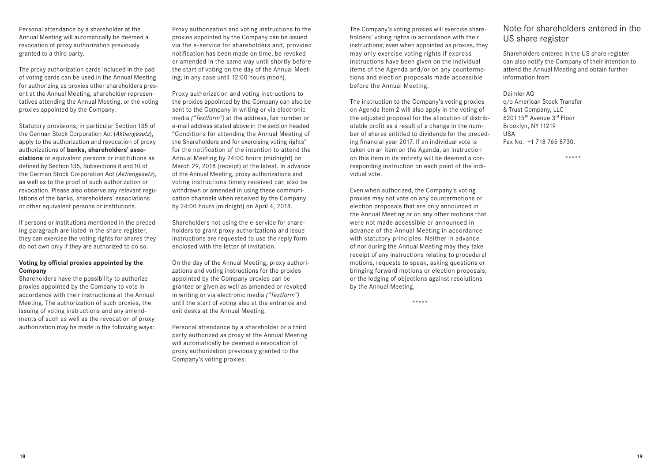Personal attendance by a shareholder at the Annual Meeting will automatically be deemed a revocation of proxy authorization previously granted to a third party.

The proxy authorization cards included in the pad of voting cards can be used in the Annual Meeting for authorizing as proxies other shareholders present at the Annual Meeting, shareholder representatives attending the Annual Meeting, or the voting proxies appointed by the Company.

Statutory provisions, in particular Section 135 of the German Stock Corporation Act (*Aktiengesetz*), apply to the authorization and revocation of proxy authorizations of **banks, shareholders' associations** or equivalent persons or institutions as defined by Section 135, Subsections 8 and 10 of the German Stock Corporation Act (*Aktiengesetz*), as well as to the proof of such authorization or revocation. Please also observe any relevant regulations of the banks, shareholders' associations or other equivalent persons or institutions.

If persons or institutions mentioned in the preceding paragraph are listed in the share register, they can exercise the voting rights for shares they do not own only if they are authorized to do so.

#### **Voting by official proxies appointed by the Company**

Shareholders have the possibility to authorize proxies appointed by the Company to vote in accordance with their instructions at the Annual Meeting. The authorization of such proxies, the issuing of voting instructions and any amendments of such as well as the revocation of proxy authorization may be made in the following ways: Proxy authorization and voting instructions to the proxies appointed by the Company can be issued via the e-service for shareholders and, provided notification has been made on time, be revoked or amended in the same way until shortly before the start of voting on the day of the Annual Meeting, in any case until 12:00 hours (noon).

Proxy authorization and voting instructions to the proxies appointed by the Company can also be sent to the Company in writing or via electronic media *("Textform")* at the address, fax number or e-mail address stated above in the section headed "Conditions for attending the Annual Meeting of the Shareholders and for exercising voting rights" for the notification of the intention to attend the Annual Meeting by 24:00 hours (midnight) on March 29, 2018 (receipt) at the latest. In advance of the Annual Meeting, proxy authorizations and voting instructions timely received can also be withdrawn or amended in using these communication channels when received by the Company by 24:00 hours (midnight) on April 4, 2018.

Shareholders not using the e-service for shareholders to grant proxy authorizations and issue instructions are requested to use the reply form enclosed with the letter of invitation.

On the day of the Annual Meeting, proxy authorizations and voting instructions for the proxies appointed by the Company proxies can be granted or given as well as amended or revoked in writing or via electronic media *("Textform")* until the start of voting also at the entrance and exit desks at the Annual Meeting.

Personal attendance by a shareholder or a third party authorized as proxy at the Annual Meeting will automatically be deemed a revocation of proxy authorization previously granted to the Company's voting proxies.

The Company's voting proxies will exercise shareholders' voting rights in accordance with their instructions; even when appointed as proxies, they may only exercise voting rights if express instructions have been given on the individual items of the Agenda and/or on any countermotions and election proposals made accessible before the Annual Meeting.

The instruction to the Company's voting proxies on Agenda Item 2 will also apply in the voting of the adjusted proposal for the allocation of distributable profit as a result of a change in the number of shares entitled to dividends for the preceding financial year 2017. If an individual vote is taken on an item on the Agenda, an instruction on this item in its entirety will be deemed a corresponding instruction on each point of the individual vote.

Even when authorized, the Company's voting proxies may not vote on any countermotions or election proposals that are only announced in the Annual Meeting or on any other motions that were not made accessible or announced in advance of the Annual Meeting in accordance with statutory principles. Neither in advance of nor during the Annual Meeting may they take receipt of any instructions relating to procedural motions, requests to speak, asking questions or bringing forward motions or election proposals, or the lodging of objections against resolutions by the Annual Meeting.

\*\*\*\*\*

## Note for shareholders entered in the US share register

Shareholders entered in the US share register can also notify the Company of their intention to attend the Annual Meeting and obtain further information from

Daimler AG c/o American Stock Transfer & Trust Company, LLC 6201 15th Avenue 3rd Floor Brooklyn, NY 11219 USA Fax No. +1 718 765 8730.

\*\*\*\*\*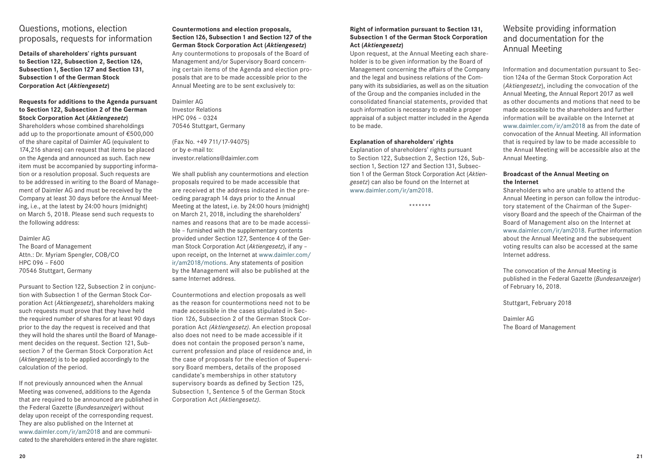## Questions, motions, election proposals, requests for information

**Details of shareholders' rights pursuant to Section 122, Subsection 2, Section 126, Subsection 1, Section 127 and Section 131, Subsection 1 of the German Stock Corporation Act (***Aktiengesetz***)**

## **Requests for additions to the Agenda pursuant to Section 122, Subsection 2 of the German Stock Corporation Act (***Aktiengesetz***)**

Shareholders whose combined shareholdings add up to the proportionate amount of €500,000 of the share capital of Daimler AG (equivalent to  174,216 shares) can request that items be placed on the Agenda and announced as such. Each new item must be accompanied by supporting information or a resolution proposal. Such requests are to be addressed in writing to the Board of Management of Daimler AG and must be received by the Company at least 30 days before the Annual Meeting, i.e., at the latest by 24:00 hours (midnight) on March 5, 2018. Please send such requests to the following address:

#### Daimler AG

The Board of Management Attn.: Dr. Myriam Spengler, COB/CO HPC 096 – F600 70546 Stuttgart, Germany

Pursuant to Section 122, Subsection 2 in conjunction with Subsection 1 of the German Stock Corporation Act (*Aktiengesetz*), shareholders making such requests must prove that they have held the required number of shares for at least 90 days prior to the day the request is received and that they will hold the shares until the Board of Management decides on the request. Section 121, Subsection 7 of the German Stock Corporation Act (*Aktiengesetz*) is to be applied accordingly to the calculation of the period.

If not previously announced when the Annual Meeting was convened, additions to the Agenda that are required to be announced are published in the Federal Gazette (*Bundesanzeiger*) without delay upon receipt of the corresponding request. They are also published on the Internet at www.daimler.com/ir/am2018 and are communicated to the shareholders entered in the share register. **Countermotions and election proposals, Section 126, Subsection 1 and Section 127 of the German Stock Corporation Act (***Aktiengesetz***)** Any countermotions to proposals of the Board of Management and/or Supervisory Board concerning certain items of the Agenda and election proposals that are to be made accessible prior to the Annual Meeting are to be sent exclusively to:

Daimler AG Investor Relations HPC 096 – 0324 70546 Stuttgart, Germany

(Fax No. +49 711/17-94075) or by e-mail to: investor.relations@daimler.com

We shall publish any countermotions and election proposals required to be made accessible that are received at the address indicated in the preceding paragraph 14 days prior to the Annual Meeting at the latest, i.e. by 24:00 hours (midnight) on March 21, 2018, including the shareholders' names and reasons that are to be made accessible – furnished with the supplementary contents provided under Section 127, Sentence 4 of the German Stock Corporation Act (*Aktiengesetz*), if any – upon receipt, on the Internet at www.daimler.com/ ir/am2018/motions. Any statements of position by the Management will also be published at the same Internet address.

Countermotions and election proposals as well as the reason for countermotions need not to be made accessible in the cases stipulated in Section 126, Subsection 2 of the German Stock Corporation Act *(Aktiengesetz)*. An election proposal also does not need to be made accessible if it does not contain the proposed person's name, current profession and place of residence and, in the case of proposals for the election of Supervisory Board members, details of the proposed candidate's memberships in other statutory supervisory boards as defined by Section 125, Subsection 1, Sentence 5 of the German Stock Corporation Act *(Aktiengesetz)*.

### **Right of information pursuant to Section 131, Subsection 1 of the German Stock Corporation Act (***Aktiengesetz***)**

Upon request, at the Annual Meeting each shareholder is to be given information by the Board of Management concerning the affairs of the Company and the legal and business relations of the Company with its subsidiaries, as well as on the situation of the Group and the companies included in the consolidated financial statements, provided that such information is necessary to enable a proper appraisal of a subject matter included in the Agenda to be made.

### **Explanation of shareholders' rights**

Explanation of shareholders' rights pursuant to Section 122, Subsection 2, Section 126, Subsection 1, Section 127 and Section 131, Subsection 1 of the German Stock Corporation Act (*Aktiengesetz*) can also be found on the Internet at www.daimler.com/ir/am2018.

\*\*\*\*\*\*\*

## Website providing information and documentation for the Annual Meeting

Information and documentation pursuant to Section 124a of the German Stock Corporation Act (*Aktiengesetz*), including the convocation of the Annual Meeting, the Annual Report 2017 as well as other documents and motions that need to be made accessible to the shareholders and further information will be available on the Internet at www.daimler.com/ir/am2018 as from the date of convocation of the Annual Meeting. All information that is required by law to be made accessible to the Annual Meeting will be accessible also at the Annual Meeting.

## **Broadcast of the Annual Meeting on the Internet**

Shareholders who are unable to attend the Annual Meeting in person can follow the introductory statement of the Chairman of the Supervisory Board and the speech of the Chairman of the Board of Management also on the Internet at www.daimler.com/ir/am2018. Further information about the Annual Meeting and the subsequent voting results can also be accessed at the same Internet address.

The convocation of the Annual Meeting is published in the Federal Gazette (*Bundesanzeiger*) of February 16, 2018.

Stuttgart, February 2018

Daimler AG The Board of Management